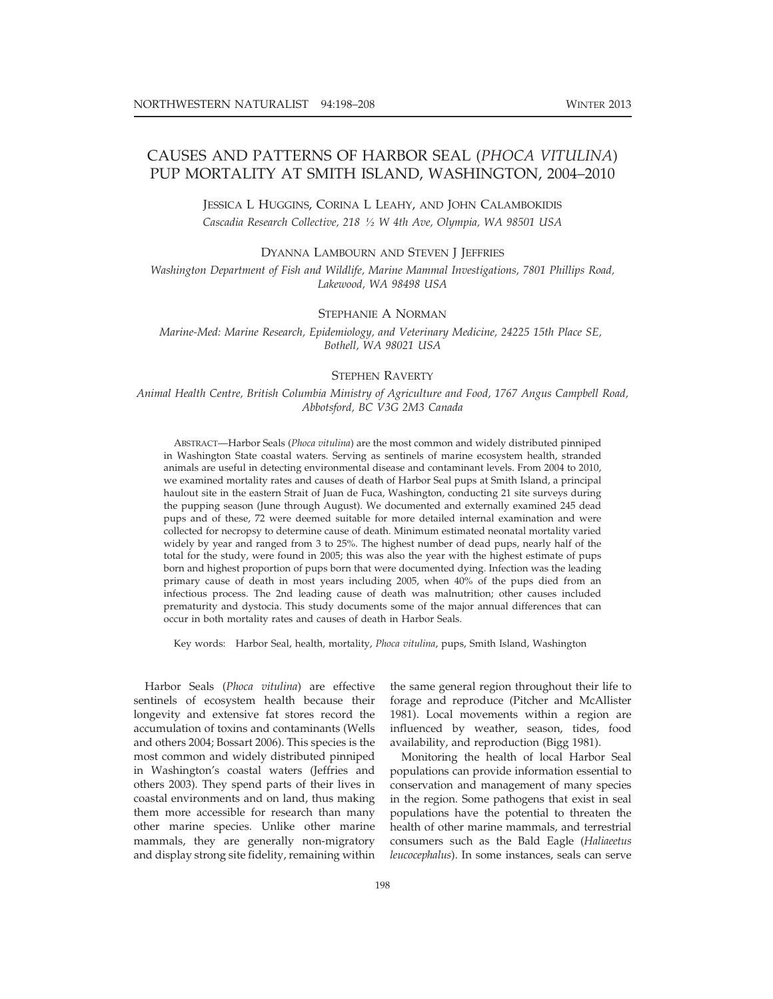# CAUSES AND PATTERNS OF HARBOR SEAL (PHOCA VITULINA) PUP MORTALITY AT SMITH ISLAND, WASHINGTON, 2004–2010

JESSICA L HUGGINS, CORINA L LEAHY, AND JOHN CALAMBOKIDIS Cascadia Research Collective, 218 1/2 W 4th Ave, Olympia, WA 98501 USA

DYANNA LAMBOURN AND STEVEN J JEFFRIES

Washington Department of Fish and Wildlife, Marine Mammal Investigations, 7801 Phillips Road, Lakewood, WA 98498 USA

### STEPHANIE A NORMAN

Marine-Med: Marine Research, Epidemiology, and Veterinary Medicine, 24225 15th Place SE, Bothell, WA 98021 USA

#### STEPHEN RAVERTY

Animal Health Centre, British Columbia Ministry of Agriculture and Food, 1767 Angus Campbell Road, Abbotsford, BC V3G 2M3 Canada

ABSTRACT—Harbor Seals (Phoca vitulina) are the most common and widely distributed pinniped in Washington State coastal waters. Serving as sentinels of marine ecosystem health, stranded animals are useful in detecting environmental disease and contaminant levels. From 2004 to 2010, we examined mortality rates and causes of death of Harbor Seal pups at Smith Island, a principal haulout site in the eastern Strait of Juan de Fuca, Washington, conducting 21 site surveys during the pupping season (June through August). We documented and externally examined 245 dead pups and of these, 72 were deemed suitable for more detailed internal examination and were collected for necropsy to determine cause of death. Minimum estimated neonatal mortality varied widely by year and ranged from 3 to 25%. The highest number of dead pups, nearly half of the total for the study, were found in 2005; this was also the year with the highest estimate of pups born and highest proportion of pups born that were documented dying. Infection was the leading primary cause of death in most years including 2005, when 40% of the pups died from an infectious process. The 2nd leading cause of death was malnutrition; other causes included prematurity and dystocia. This study documents some of the major annual differences that can occur in both mortality rates and causes of death in Harbor Seals.

Key words: Harbor Seal, health, mortality, Phoca vitulina, pups, Smith Island, Washington

Harbor Seals (Phoca vitulina) are effective sentinels of ecosystem health because their longevity and extensive fat stores record the accumulation of toxins and contaminants (Wells and others 2004; Bossart 2006). This species is the most common and widely distributed pinniped in Washington's coastal waters (Jeffries and others 2003). They spend parts of their lives in coastal environments and on land, thus making them more accessible for research than many other marine species. Unlike other marine mammals, they are generally non-migratory and display strong site fidelity, remaining within

the same general region throughout their life to forage and reproduce (Pitcher and McAllister 1981). Local movements within a region are influenced by weather, season, tides, food availability, and reproduction (Bigg 1981).

Monitoring the health of local Harbor Seal populations can provide information essential to conservation and management of many species in the region. Some pathogens that exist in seal populations have the potential to threaten the health of other marine mammals, and terrestrial consumers such as the Bald Eagle (Haliaeetus leucocephalus). In some instances, seals can serve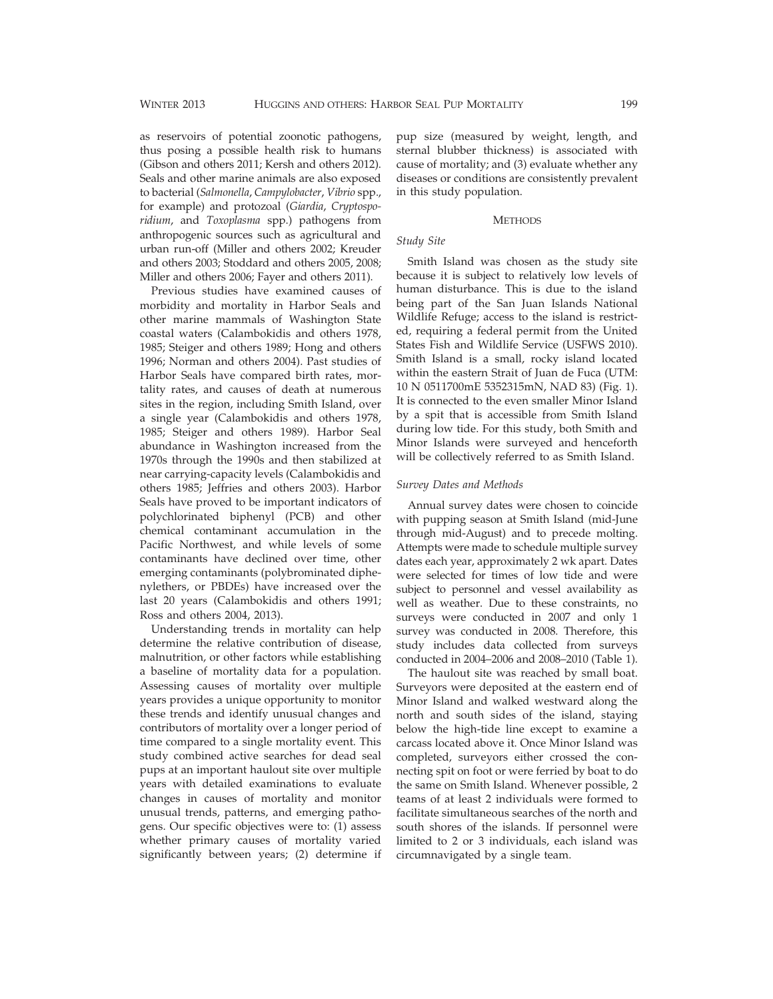as reservoirs of potential zoonotic pathogens, thus posing a possible health risk to humans (Gibson and others 2011; Kersh and others 2012). Seals and other marine animals are also exposed to bacterial (Salmonella, Campylobacter, Vibrio spp., for example) and protozoal (Giardia, Cryptosporidium, and Toxoplasma spp.) pathogens from anthropogenic sources such as agricultural and urban run-off (Miller and others 2002; Kreuder and others 2003; Stoddard and others 2005, 2008; Miller and others 2006; Fayer and others 2011).

Previous studies have examined causes of morbidity and mortality in Harbor Seals and other marine mammals of Washington State coastal waters (Calambokidis and others 1978, 1985; Steiger and others 1989; Hong and others 1996; Norman and others 2004). Past studies of Harbor Seals have compared birth rates, mortality rates, and causes of death at numerous sites in the region, including Smith Island, over a single year (Calambokidis and others 1978, 1985; Steiger and others 1989). Harbor Seal abundance in Washington increased from the 1970s through the 1990s and then stabilized at near carrying-capacity levels (Calambokidis and others 1985; Jeffries and others 2003). Harbor Seals have proved to be important indicators of polychlorinated biphenyl (PCB) and other chemical contaminant accumulation in the Pacific Northwest, and while levels of some contaminants have declined over time, other emerging contaminants (polybrominated diphenylethers, or PBDEs) have increased over the last 20 years (Calambokidis and others 1991; Ross and others 2004, 2013).

Understanding trends in mortality can help determine the relative contribution of disease, malnutrition, or other factors while establishing a baseline of mortality data for a population. Assessing causes of mortality over multiple years provides a unique opportunity to monitor these trends and identify unusual changes and contributors of mortality over a longer period of time compared to a single mortality event. This study combined active searches for dead seal pups at an important haulout site over multiple years with detailed examinations to evaluate changes in causes of mortality and monitor unusual trends, patterns, and emerging pathogens. Our specific objectives were to: (1) assess whether primary causes of mortality varied significantly between years; (2) determine if

pup size (measured by weight, length, and sternal blubber thickness) is associated with cause of mortality; and (3) evaluate whether any diseases or conditions are consistently prevalent in this study population.

#### **METHODS**

# Study Site

Smith Island was chosen as the study site because it is subject to relatively low levels of human disturbance. This is due to the island being part of the San Juan Islands National Wildlife Refuge; access to the island is restricted, requiring a federal permit from the United States Fish and Wildlife Service (USFWS 2010). Smith Island is a small, rocky island located within the eastern Strait of Juan de Fuca (UTM: 10 N 0511700mE 5352315mN, NAD 83) (Fig. 1). It is connected to the even smaller Minor Island by a spit that is accessible from Smith Island during low tide. For this study, both Smith and Minor Islands were surveyed and henceforth will be collectively referred to as Smith Island.

#### Survey Dates and Methods

Annual survey dates were chosen to coincide with pupping season at Smith Island (mid-June through mid-August) and to precede molting. Attempts were made to schedule multiple survey dates each year, approximately 2 wk apart. Dates were selected for times of low tide and were subject to personnel and vessel availability as well as weather. Due to these constraints, no surveys were conducted in 2007 and only 1 survey was conducted in 2008. Therefore, this study includes data collected from surveys conducted in 2004–2006 and 2008–2010 (Table 1).

The haulout site was reached by small boat. Surveyors were deposited at the eastern end of Minor Island and walked westward along the north and south sides of the island, staying below the high-tide line except to examine a carcass located above it. Once Minor Island was completed, surveyors either crossed the connecting spit on foot or were ferried by boat to do the same on Smith Island. Whenever possible, 2 teams of at least 2 individuals were formed to facilitate simultaneous searches of the north and south shores of the islands. If personnel were limited to 2 or 3 individuals, each island was circumnavigated by a single team.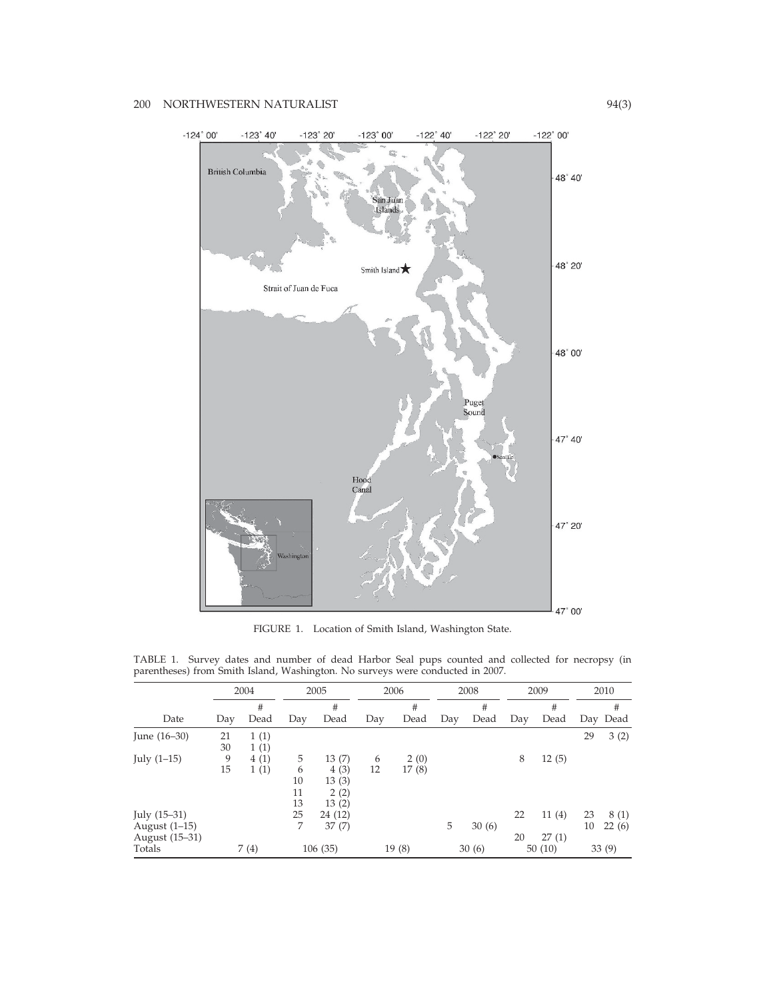

FIGURE 1. Location of Smith Island, Washington State.

|                | 2004 |      | 2005    |         | 2006 |       | 2008 |        | 2009 |       | 2010 |          |
|----------------|------|------|---------|---------|------|-------|------|--------|------|-------|------|----------|
|                |      | #    |         | #       |      | #     |      | #      |      | #     |      | #        |
| Date           | Day  | Dead | Day     | Dead    | Day  | Dead  | Day  | Dead   | Day  | Dead  |      | Day Dead |
| June $(16-30)$ | 21   | 1(1) |         |         |      |       |      |        |      |       | 29   | 3(2)     |
|                | 30   | 1(1) |         |         |      |       |      |        |      |       |      |          |
| July $(1-15)$  | 9    | 4(1) | 5       | 13(7)   | 6    | 2(0)  |      |        | 8    | 12(5) |      |          |
|                | 15   | 1(1) | 6       | 4(3)    | 12   | 17(8) |      |        |      |       |      |          |
|                |      |      | 10      | 13(3)   |      |       |      |        |      |       |      |          |
|                |      |      | 11      | 2(2)    |      |       |      |        |      |       |      |          |
|                |      |      | 13      | 13(2)   |      |       |      |        |      |       |      |          |
| July $(15-31)$ |      |      | 25      | 24 (12) |      |       |      |        | 22   | 11(4) | 23   | 8(1)     |
| August (1-15)  |      |      | 7       | 37(7)   |      |       | 5    | 30(6)  |      |       | 10   | 22(6)    |
| August (15-31) |      |      |         |         |      |       |      |        | 20   | 27(1) |      |          |
| Totals         | 7(4) |      | 106(35) | 19(8)   |      | 30(6) |      | 50(10) |      | 33(9) |      |          |

TABLE 1. Survey dates and number of dead Harbor Seal pups counted and collected for necropsy (in parentheses) from Smith Island, Washington. No surveys were conducted in 2007.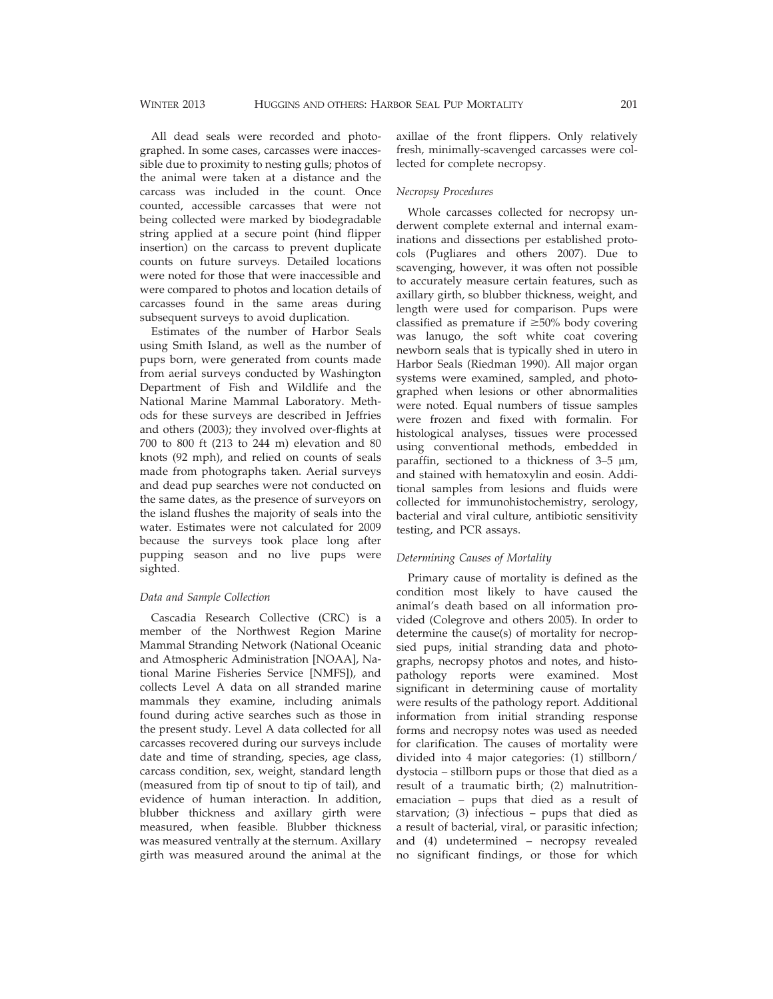All dead seals were recorded and photographed. In some cases, carcasses were inaccessible due to proximity to nesting gulls; photos of the animal were taken at a distance and the carcass was included in the count. Once counted, accessible carcasses that were not being collected were marked by biodegradable string applied at a secure point (hind flipper insertion) on the carcass to prevent duplicate counts on future surveys. Detailed locations were noted for those that were inaccessible and were compared to photos and location details of carcasses found in the same areas during subsequent surveys to avoid duplication.

Estimates of the number of Harbor Seals using Smith Island, as well as the number of pups born, were generated from counts made from aerial surveys conducted by Washington Department of Fish and Wildlife and the National Marine Mammal Laboratory. Methods for these surveys are described in Jeffries and others (2003); they involved over-flights at 700 to 800 ft (213 to 244 m) elevation and 80 knots (92 mph), and relied on counts of seals made from photographs taken. Aerial surveys and dead pup searches were not conducted on the same dates, as the presence of surveyors on the island flushes the majority of seals into the water. Estimates were not calculated for 2009 because the surveys took place long after pupping season and no live pups were sighted.

# Data and Sample Collection

Cascadia Research Collective (CRC) is a member of the Northwest Region Marine Mammal Stranding Network (National Oceanic and Atmospheric Administration [NOAA], National Marine Fisheries Service [NMFS]), and collects Level A data on all stranded marine mammals they examine, including animals found during active searches such as those in the present study. Level A data collected for all carcasses recovered during our surveys include date and time of stranding, species, age class, carcass condition, sex, weight, standard length (measured from tip of snout to tip of tail), and evidence of human interaction. In addition, blubber thickness and axillary girth were measured, when feasible. Blubber thickness was measured ventrally at the sternum. Axillary girth was measured around the animal at the axillae of the front flippers. Only relatively fresh, minimally-scavenged carcasses were collected for complete necropsy.

#### Necropsy Procedures

Whole carcasses collected for necropsy underwent complete external and internal examinations and dissections per established protocols (Pugliares and others 2007). Due to scavenging, however, it was often not possible to accurately measure certain features, such as axillary girth, so blubber thickness, weight, and length were used for comparison. Pups were classified as premature if  $\geq 50\%$  body covering was lanugo, the soft white coat covering newborn seals that is typically shed in utero in Harbor Seals (Riedman 1990). All major organ systems were examined, sampled, and photographed when lesions or other abnormalities were noted. Equal numbers of tissue samples were frozen and fixed with formalin. For histological analyses, tissues were processed using conventional methods, embedded in paraffin, sectioned to a thickness of  $3-5 \mu m$ , and stained with hematoxylin and eosin. Additional samples from lesions and fluids were collected for immunohistochemistry, serology, bacterial and viral culture, antibiotic sensitivity testing, and PCR assays.

#### Determining Causes of Mortality

Primary cause of mortality is defined as the condition most likely to have caused the animal's death based on all information provided (Colegrove and others 2005). In order to determine the cause(s) of mortality for necropsied pups, initial stranding data and photographs, necropsy photos and notes, and histopathology reports were examined. Most significant in determining cause of mortality were results of the pathology report. Additional information from initial stranding response forms and necropsy notes was used as needed for clarification. The causes of mortality were divided into 4 major categories: (1) stillborn/ dystocia – stillborn pups or those that died as a result of a traumatic birth; (2) malnutritionemaciation – pups that died as a result of starvation; (3) infectious – pups that died as a result of bacterial, viral, or parasitic infection; and (4) undetermined – necropsy revealed no significant findings, or those for which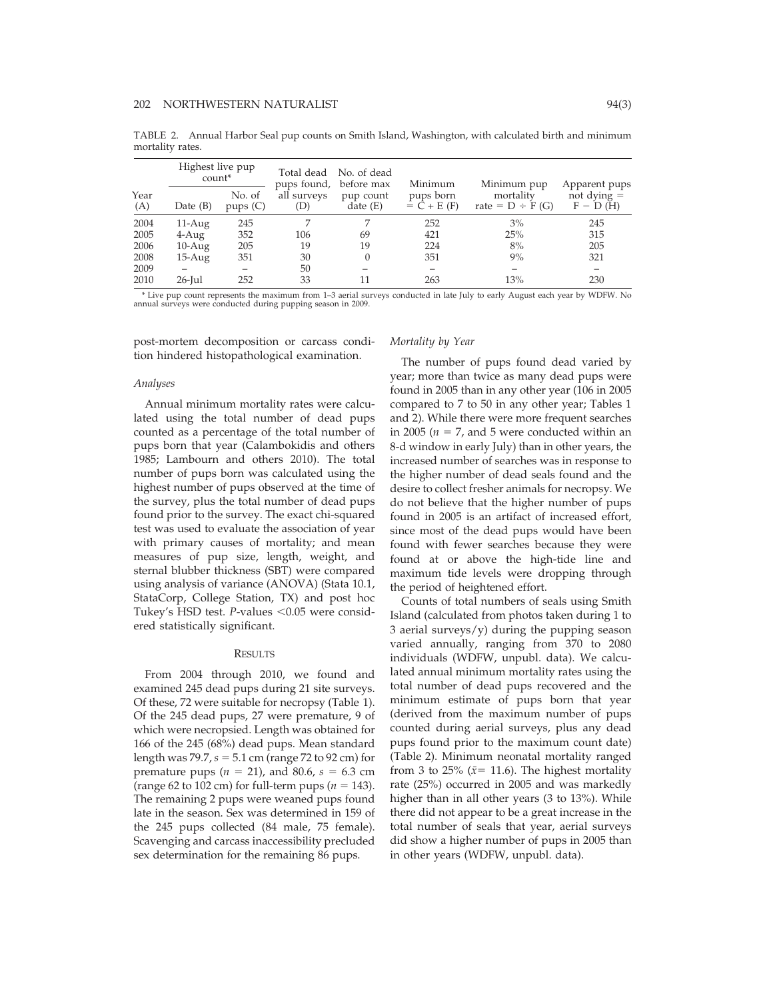TABLE 2. Annual Harbor Seal pup counts on Smith Island, Washington, with calculated birth and minimum mortality rates.

|             | Highest live pup<br>count <sup>*</sup> |                   | pups found,        | Total dead No. of dead<br>before max | Minimum                    | Minimum pup                       | Apparent pups               |
|-------------|----------------------------------------|-------------------|--------------------|--------------------------------------|----------------------------|-----------------------------------|-----------------------------|
| Year<br>(A) | Date $(B)$                             | No. of<br>pups(C) | all surveys<br>(D) | pup count<br>date(E)                 | pups born<br>$= C + E (F)$ | mortality<br>rate = $D \div F(G)$ | not dying $=$<br>$F - D(H)$ |
| 2004        | $11-Aug$                               | 245               |                    |                                      | 252                        | 3%                                | 245                         |
| 2005        | $4-Aug$                                | 352               | 106                | 69                                   | 421                        | 25%                               | 315                         |
| 2006        | $10-Aug$                               | 205               | 19                 | 19                                   | 224                        | 8%                                | 205                         |
| 2008        | $15-Aug$                               | 351               | 30                 |                                      | 351                        | 9%                                | 321                         |
| 2009        |                                        |                   | 50                 |                                      | -                          |                                   |                             |
| 2010        | $26$ -Jul                              | 252               | 33                 | 11                                   | 263                        | 13%                               | 230                         |

\* Live pup count represents the maximum from 1–3 aerial surveys conducted in late July to early August each year by WDFW. No annual surveys were conducted during pupping season in 2009.

post-mortem decomposition or carcass condition hindered histopathological examination.

#### Analyses

Annual minimum mortality rates were calculated using the total number of dead pups counted as a percentage of the total number of pups born that year (Calambokidis and others 1985; Lambourn and others 2010). The total number of pups born was calculated using the highest number of pups observed at the time of the survey, plus the total number of dead pups found prior to the survey. The exact chi-squared test was used to evaluate the association of year with primary causes of mortality; and mean measures of pup size, length, weight, and sternal blubber thickness (SBT) were compared using analysis of variance (ANOVA) (Stata 10.1, StataCorp, College Station, TX) and post hoc Tukey's HSD test. P-values  $< 0.05$  were considered statistically significant.

#### **RESULTS**

From 2004 through 2010, we found and examined 245 dead pups during 21 site surveys. Of these, 72 were suitable for necropsy (Table 1). Of the 245 dead pups, 27 were premature, 9 of which were necropsied. Length was obtained for 166 of the 245 (68%) dead pups. Mean standard length was  $79.7$ ,  $s = 5.1$  cm (range  $72$  to  $92$  cm) for premature pups ( $n = 21$ ), and 80.6,  $s = 6.3$  cm (range 62 to 102 cm) for full-term pups ( $n = 143$ ). The remaining 2 pups were weaned pups found late in the season. Sex was determined in 159 of the 245 pups collected (84 male, 75 female). Scavenging and carcass inaccessibility precluded sex determination for the remaining 86 pups.

#### Mortality by Year

The number of pups found dead varied by year; more than twice as many dead pups were found in 2005 than in any other year (106 in 2005 compared to 7 to 50 in any other year; Tables 1 and 2). While there were more frequent searches in 2005 ( $n = 7$ , and 5 were conducted within an 8-d window in early July) than in other years, the increased number of searches was in response to the higher number of dead seals found and the desire to collect fresher animals for necropsy. We do not believe that the higher number of pups found in 2005 is an artifact of increased effort, since most of the dead pups would have been found with fewer searches because they were found at or above the high-tide line and maximum tide levels were dropping through the period of heightened effort.

Counts of total numbers of seals using Smith Island (calculated from photos taken during 1 to 3 aerial surveys/y) during the pupping season varied annually, ranging from 370 to 2080 individuals (WDFW, unpubl. data). We calculated annual minimum mortality rates using the total number of dead pups recovered and the minimum estimate of pups born that year (derived from the maximum number of pups counted during aerial surveys, plus any dead pups found prior to the maximum count date) (Table 2). Minimum neonatal mortality ranged from 3 to 25% ( $\bar{x}$ = 11.6). The highest mortality rate (25%) occurred in 2005 and was markedly higher than in all other years (3 to 13%). While there did not appear to be a great increase in the total number of seals that year, aerial surveys did show a higher number of pups in 2005 than in other years (WDFW, unpubl. data).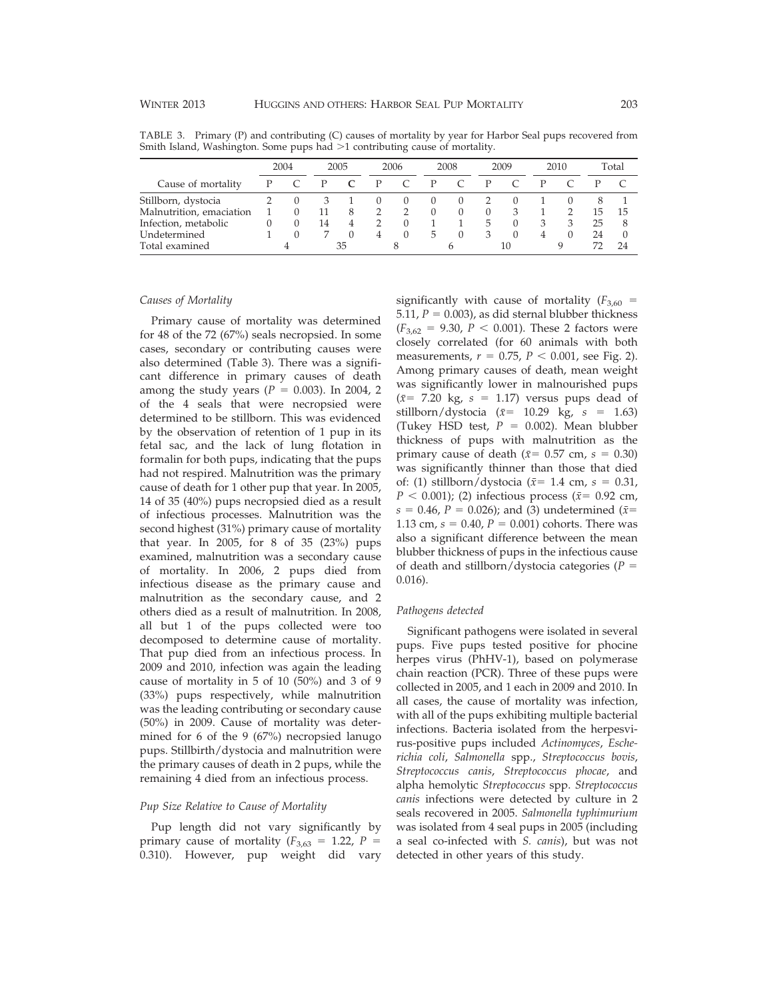| 2004 |  | 2005 |  | 2006 |                  | 2008   |   | 2009 |                  | 2010 |  | Total |    |
|------|--|------|--|------|------------------|--------|---|------|------------------|------|--|-------|----|
|      |  |      |  |      |                  |        |   |      |                  |      |  |       |    |
|      |  |      |  |      | $\left( \right)$ | $\cup$ |   |      |                  |      |  |       |    |
|      |  | 11   |  |      |                  | 0      |   |      |                  |      |  | ۲.    | 15 |
|      |  | 14   |  |      |                  |        |   | h    |                  |      |  | 25    | 8  |
|      |  |      |  | 4    | $\Omega$         | 5.     | 0 | З    | $\left( \right)$ |      |  | 24    |    |
|      |  |      |  |      |                  |        |   |      |                  |      |  |       | 24 |
|      |  |      |  | 35   |                  |        |   |      |                  | 10   |  |       |    |

TABLE 3. Primary (P) and contributing (C) causes of mortality by year for Harbor Seal pups recovered from Smith Island, Washington. Some pups had >1 contributing cause of mortality.

#### Causes of Mortality

Primary cause of mortality was determined for 48 of the 72 (67%) seals necropsied. In some cases, secondary or contributing causes were also determined (Table 3). There was a significant difference in primary causes of death among the study years ( $P = 0.003$ ). In 2004, 2 of the 4 seals that were necropsied were determined to be stillborn. This was evidenced by the observation of retention of 1 pup in its fetal sac, and the lack of lung flotation in formalin for both pups, indicating that the pups had not respired. Malnutrition was the primary cause of death for 1 other pup that year. In 2005, 14 of 35 (40%) pups necropsied died as a result of infectious processes. Malnutrition was the second highest (31%) primary cause of mortality that year. In 2005, for 8 of 35 (23%) pups examined, malnutrition was a secondary cause of mortality. In 2006, 2 pups died from infectious disease as the primary cause and malnutrition as the secondary cause, and 2 others died as a result of malnutrition. In 2008, all but 1 of the pups collected were too decomposed to determine cause of mortality. That pup died from an infectious process. In 2009 and 2010, infection was again the leading cause of mortality in 5 of 10 (50%) and 3 of 9 (33%) pups respectively, while malnutrition was the leading contributing or secondary cause (50%) in 2009. Cause of mortality was determined for 6 of the 9 (67%) necropsied lanugo pups. Stillbirth/dystocia and malnutrition were the primary causes of death in 2 pups, while the remaining 4 died from an infectious process.

# Pup Size Relative to Cause of Mortality

Pup length did not vary significantly by primary cause of mortality ( $F_{3,63} = 1.22$ ,  $P =$ 0.310). However, pup weight did vary

significantly with cause of mortality  $(F_{3,60} =$ 5.11,  $P = 0.003$ ), as did sternal blubber thickness  $(F_{3,62} = 9.30, P < 0.001)$ . These 2 factors were closely correlated (for 60 animals with both measurements,  $r = 0.75$ ,  $P < 0.001$ , see Fig. 2). Among primary causes of death, mean weight was significantly lower in malnourished pups  $(\bar{x}$ = 7.20 kg, s = 1.17) versus pups dead of stillborn/dystocia ( $\bar{x}$ = 10.29 kg, s = 1.63) (Tukey HSD test,  $P = 0.002$ ). Mean blubber thickness of pups with malnutrition as the primary cause of death ( $\bar{x}$ = 0.57 cm, s = 0.30) was significantly thinner than those that died of: (1) stillborn/dystocia ( $\bar{x}$ = 1.4 cm, s = 0.31,  $P < 0.001$ ); (2) infectious process ( $\bar{x}$ = 0.92 cm,  $s = 0.46$ ,  $P = 0.026$ ); and (3) undetermined ( $\bar{x}$ = 1.13 cm,  $s = 0.40$ ,  $P = 0.001$ ) cohorts. There was also a significant difference between the mean blubber thickness of pups in the infectious cause of death and stillborn/dystocia categories ( $P =$ 0.016).

# Pathogens detected

Significant pathogens were isolated in several pups. Five pups tested positive for phocine herpes virus (PhHV-1), based on polymerase chain reaction (PCR). Three of these pups were collected in 2005, and 1 each in 2009 and 2010. In all cases, the cause of mortality was infection, with all of the pups exhibiting multiple bacterial infections. Bacteria isolated from the herpesvirus-positive pups included Actinomyces, Escherichia coli, Salmonella spp., Streptococcus bovis, Streptococcus canis, Streptococcus phocae, and alpha hemolytic Streptococcus spp. Streptococcus canis infections were detected by culture in 2 seals recovered in 2005. Salmonella typhimurium was isolated from 4 seal pups in 2005 (including a seal co-infected with S. canis), but was not detected in other years of this study.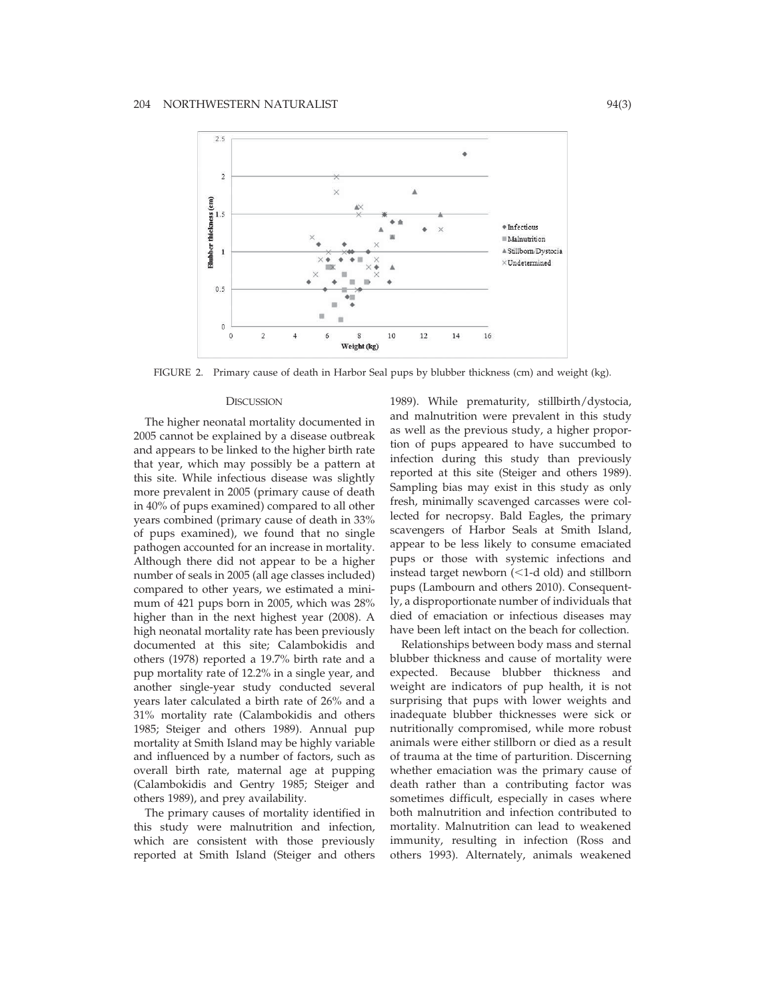

FIGURE 2. Primary cause of death in Harbor Seal pups by blubber thickness (cm) and weight (kg).

#### **DISCUSSION**

The higher neonatal mortality documented in 2005 cannot be explained by a disease outbreak and appears to be linked to the higher birth rate that year, which may possibly be a pattern at this site. While infectious disease was slightly more prevalent in 2005 (primary cause of death in 40% of pups examined) compared to all other years combined (primary cause of death in 33% of pups examined), we found that no single pathogen accounted for an increase in mortality. Although there did not appear to be a higher number of seals in 2005 (all age classes included) compared to other years, we estimated a minimum of 421 pups born in 2005, which was 28% higher than in the next highest year (2008). A high neonatal mortality rate has been previously documented at this site; Calambokidis and others (1978) reported a 19.7% birth rate and a pup mortality rate of 12.2% in a single year, and another single-year study conducted several years later calculated a birth rate of 26% and a 31% mortality rate (Calambokidis and others 1985; Steiger and others 1989). Annual pup mortality at Smith Island may be highly variable and influenced by a number of factors, such as overall birth rate, maternal age at pupping (Calambokidis and Gentry 1985; Steiger and others 1989), and prey availability.

The primary causes of mortality identified in this study were malnutrition and infection, which are consistent with those previously reported at Smith Island (Steiger and others

1989). While prematurity, stillbirth/dystocia, and malnutrition were prevalent in this study as well as the previous study, a higher proportion of pups appeared to have succumbed to infection during this study than previously reported at this site (Steiger and others 1989). Sampling bias may exist in this study as only fresh, minimally scavenged carcasses were collected for necropsy. Bald Eagles, the primary scavengers of Harbor Seals at Smith Island, appear to be less likely to consume emaciated pups or those with systemic infections and instead target newborn  $(<1$ -d old) and stillborn pups (Lambourn and others 2010). Consequently, a disproportionate number of individuals that died of emaciation or infectious diseases may have been left intact on the beach for collection.

Relationships between body mass and sternal blubber thickness and cause of mortality were expected. Because blubber thickness and weight are indicators of pup health, it is not surprising that pups with lower weights and inadequate blubber thicknesses were sick or nutritionally compromised, while more robust animals were either stillborn or died as a result of trauma at the time of parturition. Discerning whether emaciation was the primary cause of death rather than a contributing factor was sometimes difficult, especially in cases where both malnutrition and infection contributed to mortality. Malnutrition can lead to weakened immunity, resulting in infection (Ross and others 1993). Alternately, animals weakened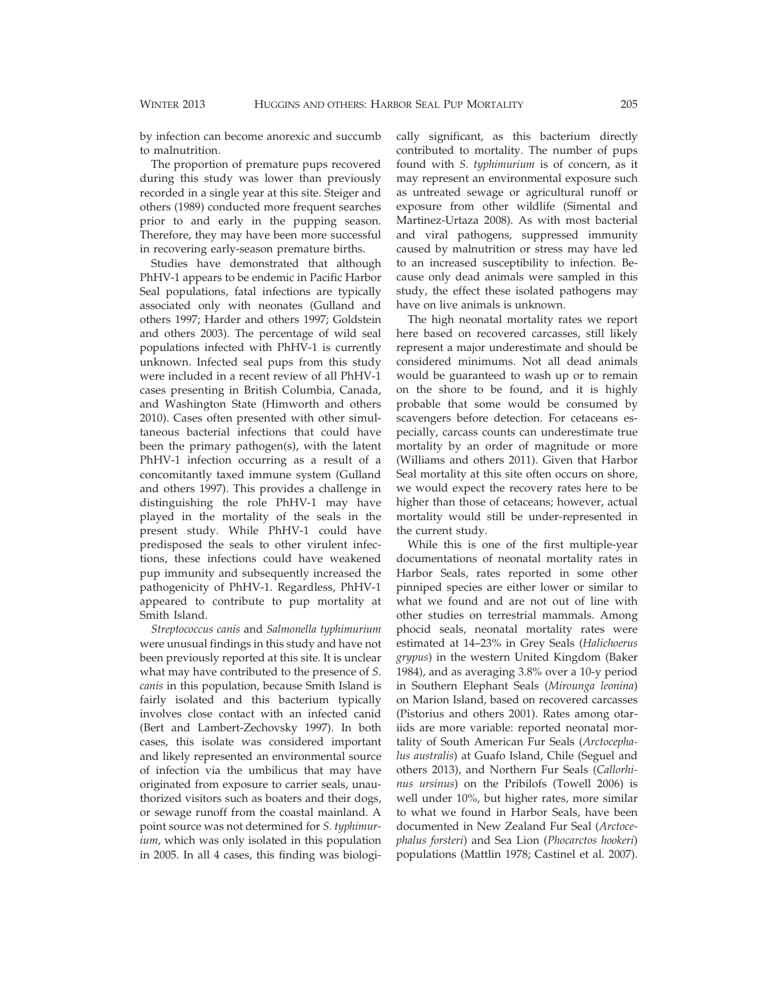by infection can become anorexic and succumb to malnutrition.

The proportion of premature pups recovered during this study was lower than previously recorded in a single year at this site. Steiger and others (1989) conducted more frequent searches prior to and early in the pupping season. Therefore, they may have been more successful in recovering early-season premature births.

Studies have demonstrated that although PhHV-1 appears to be endemic in Pacific Harbor Seal populations, fatal infections are typically associated only with neonates (Gulland and others 1997; Harder and others 1997; Goldstein and others 2003). The percentage of wild seal populations infected with PhHV-1 is currently unknown. Infected seal pups from this study were included in a recent review of all PhHV-1 cases presenting in British Columbia, Canada, and Washington State (Himworth and others 2010). Cases often presented with other simultaneous bacterial infections that could have been the primary pathogen(s), with the latent PhHV-1 infection occurring as a result of a concomitantly taxed immune system (Gulland and others 1997). This provides a challenge in distinguishing the role PhHV-1 may have played in the mortality of the seals in the present study. While PhHV-1 could have predisposed the seals to other virulent infections, these infections could have weakened pup immunity and subsequently increased the pathogenicity of PhHV-1. Regardless, PhHV-1 appeared to contribute to pup mortality at Smith Island.

Streptococcus canis and Salmonella typhimurium were unusual findings in this study and have not been previously reported at this site. It is unclear what may have contributed to the presence of S. canis in this population, because Smith Island is fairly isolated and this bacterium typically involves close contact with an infected canid (Bert and Lambert-Zechovsky 1997). In both cases, this isolate was considered important and likely represented an environmental source of infection via the umbilicus that may have originated from exposure to carrier seals, unauthorized visitors such as boaters and their dogs, or sewage runoff from the coastal mainland. A point source was not determined for S. typhimurium, which was only isolated in this population in 2005. In all 4 cases, this finding was biologically significant, as this bacterium directly contributed to mortality. The number of pups found with S. typhimurium is of concern, as it may represent an environmental exposure such as untreated sewage or agricultural runoff or exposure from other wildlife (Simental and Martinez-Urtaza 2008). As with most bacterial and viral pathogens, suppressed immunity caused by malnutrition or stress may have led to an increased susceptibility to infection. Because only dead animals were sampled in this study, the effect these isolated pathogens may have on live animals is unknown.

The high neonatal mortality rates we report here based on recovered carcasses, still likely represent a major underestimate and should be considered minimums. Not all dead animals would be guaranteed to wash up or to remain on the shore to be found, and it is highly probable that some would be consumed by scavengers before detection. For cetaceans especially, carcass counts can underestimate true mortality by an order of magnitude or more (Williams and others 2011). Given that Harbor Seal mortality at this site often occurs on shore, we would expect the recovery rates here to be higher than those of cetaceans; however, actual mortality would still be under-represented in the current study.

While this is one of the first multiple-year documentations of neonatal mortality rates in Harbor Seals, rates reported in some other pinniped species are either lower or similar to what we found and are not out of line with other studies on terrestrial mammals. Among phocid seals, neonatal mortality rates were estimated at 14–23% in Grey Seals (Halichoerus grypus) in the western United Kingdom (Baker 1984), and as averaging 3.8% over a 10-y period in Southern Elephant Seals (Mirounga leonina) on Marion Island, based on recovered carcasses (Pistorius and others 2001). Rates among otariids are more variable: reported neonatal mortality of South American Fur Seals (Arctocephalus australis) at Guafo Island, Chile (Seguel and others 2013), and Northern Fur Seals (Callorhinus ursinus) on the Pribilofs (Towell 2006) is well under 10%, but higher rates, more similar to what we found in Harbor Seals, have been documented in New Zealand Fur Seal (Arctocephalus forsteri) and Sea Lion (Phocarctos hookeri) populations (Mattlin 1978; Castinel et al. 2007).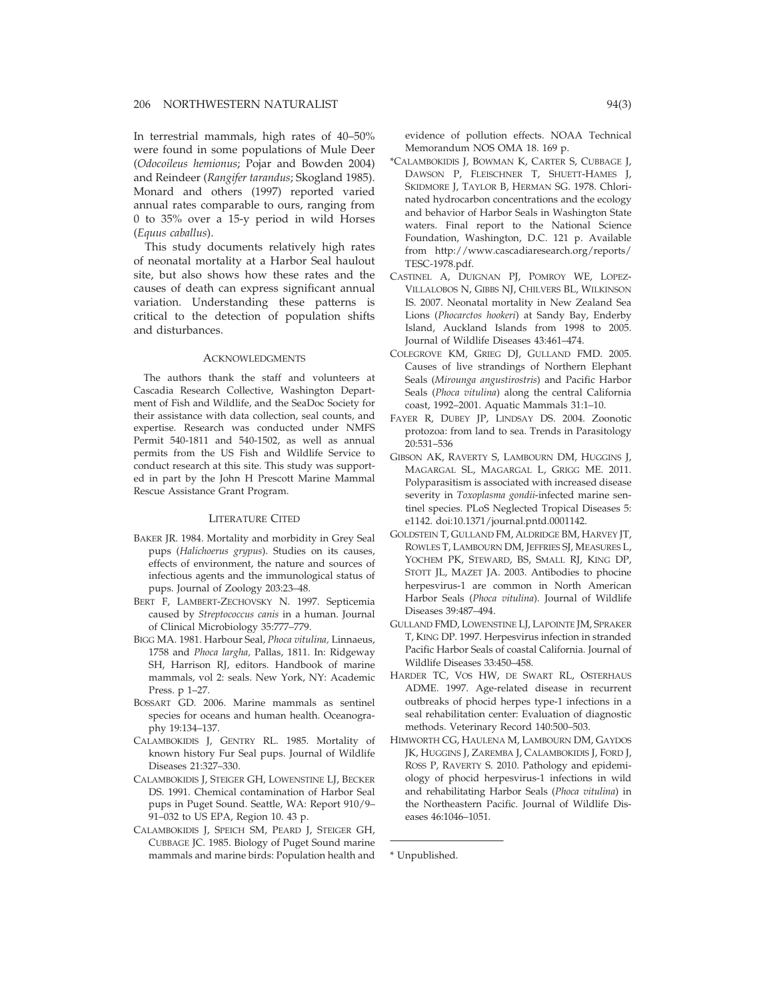In terrestrial mammals, high rates of 40–50% were found in some populations of Mule Deer (Odocoileus hemionus; Pojar and Bowden 2004) and Reindeer (Rangifer tarandus; Skogland 1985). Monard and others (1997) reported varied annual rates comparable to ours, ranging from 0 to 35% over a 15-y period in wild Horses (Equus caballus).

This study documents relatively high rates of neonatal mortality at a Harbor Seal haulout site, but also shows how these rates and the causes of death can express significant annual variation. Understanding these patterns is critical to the detection of population shifts and disturbances.

#### ACKNOWLEDGMENTS

The authors thank the staff and volunteers at Cascadia Research Collective, Washington Department of Fish and Wildlife, and the SeaDoc Society for their assistance with data collection, seal counts, and expertise. Research was conducted under NMFS Permit 540-1811 and 540-1502, as well as annual permits from the US Fish and Wildlife Service to conduct research at this site. This study was supported in part by the John H Prescott Marine Mammal Rescue Assistance Grant Program.

### LITERATURE CITED

- BAKER JR. 1984. Mortality and morbidity in Grey Seal pups (Halichoerus grypus). Studies on its causes, effects of environment, the nature and sources of infectious agents and the immunological status of pups. Journal of Zoology 203:23–48.
- BERT F, LAMBERT-ZECHOVSKY N. 1997. Septicemia caused by Streptococcus canis in a human. Journal of Clinical Microbiology 35:777–779.
- BIGG MA. 1981. Harbour Seal, Phoca vitulina, Linnaeus, 1758 and Phoca largha, Pallas, 1811. In: Ridgeway SH, Harrison RJ, editors. Handbook of marine mammals, vol 2: seals. New York, NY: Academic Press. p 1–27.
- BOSSART GD. 2006. Marine mammals as sentinel species for oceans and human health. Oceanography 19:134–137.
- CALAMBOKIDIS J, GENTRY RL. 1985. Mortality of known history Fur Seal pups. Journal of Wildlife Diseases 21:327–330.
- CALAMBOKIDIS J, STEIGER GH, LOWENSTINE LJ, BECKER DS. 1991. Chemical contamination of Harbor Seal pups in Puget Sound. Seattle, WA: Report 910/9– 91–032 to US EPA, Region 10. 43 p.
- CALAMBOKIDIS J, SPEICH SM, PEARD J, STEIGER GH, CUBBAGE JC. 1985. Biology of Puget Sound marine mammals and marine birds: Population health and

evidence of pollution effects. NOAA Technical Memorandum NOS OMA 18. 169 p.

- \*CALAMBOKIDIS J, BOWMAN K, CARTER S, CUBBAGE J, DAWSON P, FLEISCHNER T, SHUETT-HAMES J, SKIDMORE J, TAYLOR B, HERMAN SG. 1978. Chlorinated hydrocarbon concentrations and the ecology and behavior of Harbor Seals in Washington State waters. Final report to the National Science Foundation, Washington, D.C. 121 p. Available from http://www.cascadiaresearch.org/reports/ TESC-1978.pdf.
- CASTINEL A, DUIGNAN PJ, POMROY WE, LOPEZ-VILLALOBOS N, GIBBS NJ, CHILVERS BL, WILKINSON IS. 2007. Neonatal mortality in New Zealand Sea Lions (Phocarctos hookeri) at Sandy Bay, Enderby Island, Auckland Islands from 1998 to 2005. Journal of Wildlife Diseases 43:461–474.
- COLEGROVE KM, GRIEG DJ, GULLAND FMD. 2005. Causes of live strandings of Northern Elephant Seals (Mirounga angustirostris) and Pacific Harbor Seals (Phoca vitulina) along the central California coast, 1992–2001. Aquatic Mammals 31:1–10.
- FAYER R, DUBEY JP, LINDSAY DS. 2004. Zoonotic protozoa: from land to sea. Trends in Parasitology 20:531–536
- GIBSON AK, RAVERTY S, LAMBOURN DM, HUGGINS J, MAGARGAL SL, MAGARGAL L, GRIGG ME. 2011. Polyparasitism is associated with increased disease severity in Toxoplasma gondii-infected marine sentinel species. PLoS Neglected Tropical Diseases 5: e1142. doi:10.1371/journal.pntd.0001142.
- GOLDSTEIN T, GULLAND FM, ALDRIDGE BM, HARVEY JT, ROWLES T, LAMBOURN DM, JEFFRIES SJ, MEASURES L, YOCHEM PK, STEWARD, BS, SMALL RJ, KING DP, STOTT JL, MAZET JA. 2003. Antibodies to phocine herpesvirus-1 are common in North American Harbor Seals (Phoca vitulina). Journal of Wildlife Diseases 39:487–494.
- GULLAND FMD, LOWENSTINE LJ, LAPOINTE JM, SPRAKER T, KING DP. 1997. Herpesvirus infection in stranded Pacific Harbor Seals of coastal California. Journal of Wildlife Diseases 33:450–458.
- HARDER TC, VOS HW, DE SWART RL, OSTERHAUS ADME. 1997. Age-related disease in recurrent outbreaks of phocid herpes type-1 infections in a seal rehabilitation center: Evaluation of diagnostic methods. Veterinary Record 140:500–503.
- HIMWORTH CG, HAULENA M, LAMBOURN DM, GAYDOS JK, HUGGINS J, ZAREMBA J, CALAMBOKIDIS J, FORD J, ROSS P, RAVERTY S. 2010. Pathology and epidemiology of phocid herpesvirus-1 infections in wild and rehabilitating Harbor Seals (Phoca vitulina) in the Northeastern Pacific. Journal of Wildlife Diseases 46:1046–1051.

\* Unpublished.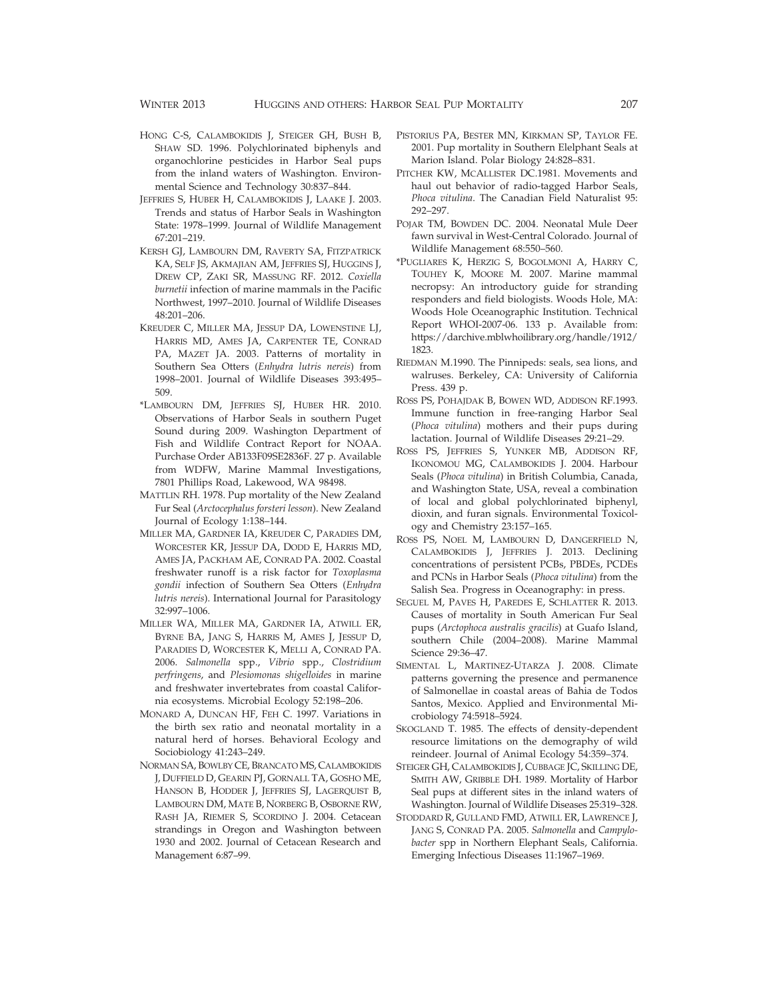- HONG C-S, CALAMBOKIDIS J, STEIGER GH, BUSH B, SHAW SD. 1996. Polychlorinated biphenyls and organochlorine pesticides in Harbor Seal pups from the inland waters of Washington. Environmental Science and Technology 30:837–844.
- JEFFRIES S, HUBER H, CALAMBOKIDIS J, LAAKE J. 2003. Trends and status of Harbor Seals in Washington State: 1978–1999. Journal of Wildlife Management 67:201–219.
- KERSH GJ, LAMBOURN DM, RAVERTY SA, FITZPATRICK KA, SELF JS, AKMAJIAN AM, JEFFRIES SJ, HUGGINS J, DREW CP, ZAKI SR, MASSUNG RF. 2012. Coxiella burnetii infection of marine mammals in the Pacific Northwest, 1997–2010. Journal of Wildlife Diseases 48:201–206.
- KREUDER C, MILLER MA, JESSUP DA, LOWENSTINE LJ, HARRIS MD, AMES JA, CARPENTER TE, CONRAD PA, MAZET JA. 2003. Patterns of mortality in Southern Sea Otters (Enhydra lutris nereis) from 1998–2001. Journal of Wildlife Diseases 393:495– 509.
- \*LAMBOURN DM, JEFFRIES SJ, HUBER HR. 2010. Observations of Harbor Seals in southern Puget Sound during 2009. Washington Department of Fish and Wildlife Contract Report for NOAA. Purchase Order AB133F09SE2836F. 27 p. Available from WDFW, Marine Mammal Investigations, 7801 Phillips Road, Lakewood, WA 98498.
- MATTLIN RH. 1978. Pup mortality of the New Zealand Fur Seal (Arctocephalus forsteri lesson). New Zealand Journal of Ecology 1:138–144.
- MILLER MA, GARDNER IA, KREUDER C, PARADIES DM, WORCESTER KR, JESSUP DA, DODD E, HARRIS MD, AMES JA, PACKHAM AE, CONRAD PA. 2002. Coastal freshwater runoff is a risk factor for Toxoplasma gondii infection of Southern Sea Otters (Enhydra lutris nereis). International Journal for Parasitology 32:997–1006.
- MILLER WA, MILLER MA, GARDNER IA, ATWILL ER, BYRNE BA, JANG S, HARRIS M, AMES J, JESSUP D, PARADIES D, WORCESTER K, MELLI A, CONRAD PA. 2006. Salmonella spp., Vibrio spp., Clostridium perfringens, and Plesiomonas shigelloides in marine and freshwater invertebrates from coastal California ecosystems. Microbial Ecology 52:198–206.
- MONARD A, DUNCAN HF, FEH C. 1997. Variations in the birth sex ratio and neonatal mortality in a natural herd of horses. Behavioral Ecology and Sociobiology 41:243–249.
- NORMAN SA, BOWLBY CE, BRANCATO MS, CALAMBOKIDIS J, DUFFIELD D, GEARIN PJ, GORNALL TA, GOSHO ME, HANSON B, HODDER J, JEFFRIES SJ, LAGERQUIST B, LAMBOURN DM, MATE B, NORBERG B, OSBORNE RW, RASH JA, RIEMER S, SCORDINO J. 2004. Cetacean strandings in Oregon and Washington between 1930 and 2002. Journal of Cetacean Research and Management 6:87–99.
- PISTORIUS PA, BESTER MN, KIRKMAN SP, TAYLOR FE. 2001. Pup mortality in Southern Elelphant Seals at Marion Island. Polar Biology 24:828–831.
- PITCHER KW, MCALLISTER DC.1981. Movements and haul out behavior of radio-tagged Harbor Seals, Phoca vitulina. The Canadian Field Naturalist 95: 292–297.
- POJAR TM, BOWDEN DC. 2004. Neonatal Mule Deer fawn survival in West-Central Colorado. Journal of Wildlife Management 68:550–560.
- \*PUGLIARES K, HERZIG S, BOGOLMONI A, HARRY C, TOUHEY K, MOORE M. 2007. Marine mammal necropsy: An introductory guide for stranding responders and field biologists. Woods Hole, MA: Woods Hole Oceanographic Institution. Technical Report WHOI-2007-06. 133 p. Available from: https://darchive.mblwhoilibrary.org/handle/1912/ 1823.
- RIEDMAN M.1990. The Pinnipeds: seals, sea lions, and walruses. Berkeley, CA: University of California Press. 439 p.
- ROSS PS, POHAJDAK B, BOWEN WD, ADDISON RF.1993. Immune function in free-ranging Harbor Seal (Phoca vitulina) mothers and their pups during lactation. Journal of Wildlife Diseases 29:21–29.
- ROSS PS, JEFFRIES S, YUNKER MB, ADDISON RF, IKONOMOU MG, CALAMBOKIDIS J. 2004. Harbour Seals (Phoca vitulina) in British Columbia, Canada, and Washington State, USA, reveal a combination of local and global polychlorinated biphenyl, dioxin, and furan signals. Environmental Toxicology and Chemistry 23:157–165.
- ROSS PS, NOEL M, LAMBOURN D, DANGERFIELD N, CALAMBOKIDIS J, JEFFRIES J. 2013. Declining concentrations of persistent PCBs, PBDEs, PCDEs and PCNs in Harbor Seals (Phoca vitulina) from the Salish Sea. Progress in Oceanography: in press.
- SEGUEL M, PAVES H, PAREDES E, SCHLATTER R. 2013. Causes of mortality in South American Fur Seal pups (Arctophoca australis gracilis) at Guafo Island, southern Chile (2004–2008). Marine Mammal Science 29:36–47.
- SIMENTAL L, MARTINEZ-UTARZA J. 2008. Climate patterns governing the presence and permanence of Salmonellae in coastal areas of Bahia de Todos Santos, Mexico. Applied and Environmental Microbiology 74:5918–5924.
- SKOGLAND T. 1985. The effects of density-dependent resource limitations on the demography of wild reindeer. Journal of Animal Ecology 54:359–374.
- STEIGER GH, CALAMBOKIDIS J, CUBBAGE JC, SKILLING DE, SMITH AW, GRIBBLE DH. 1989. Mortality of Harbor Seal pups at different sites in the inland waters of Washington. Journal of Wildlife Diseases 25:319–328.
- STODDARD R, GULLAND FMD, ATWILL ER, LAWRENCE J, JANG S, CONRAD PA. 2005. Salmonella and Campylobacter spp in Northern Elephant Seals, California. Emerging Infectious Diseases 11:1967–1969.